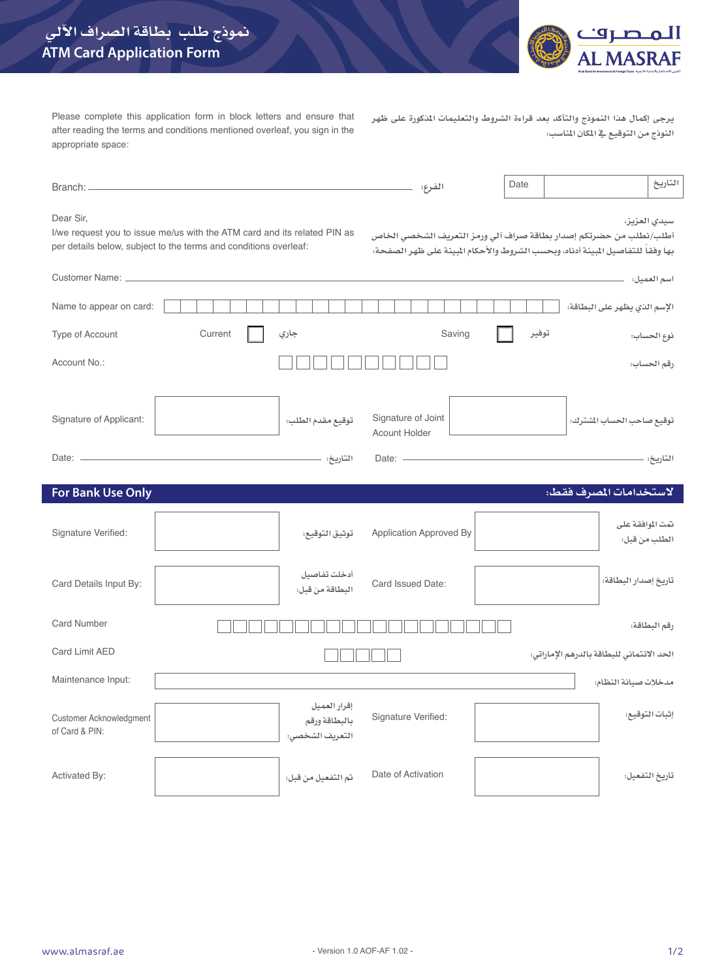

Please complete this application form in block letters and ensure that after reading the terms and conditions mentioned overleaf, you sign in the appropriate space:

**يرجى إكمال هذا النموذج والتأكد بعد قراءة الشروط والتعليمات املذكورة على ظهر النوذج من التوقيع يف املكان املناسب:**

| Branch:                                   |                                                                                                                                              | الفرع:                                           | Date  | التاريخ                                                                                                                                                               |
|-------------------------------------------|----------------------------------------------------------------------------------------------------------------------------------------------|--------------------------------------------------|-------|-----------------------------------------------------------------------------------------------------------------------------------------------------------------------|
| Dear Sir,                                 | I/we request you to issue me/us with the ATM card and its related PIN as<br>per details below, subject to the terms and conditions overleaf: |                                                  |       | سيدى العزيز،<br>أطلب/نطلب من حضرتكم إصدار بطاقة صراف آلي ورمز التعريف الشخصي الخاص<br>بها وفقاً للتفاصيل المبينة أدناه، وبحسب الشروط والأحكام المبينة على ظهر الصفحة: |
| Customer Name: _                          |                                                                                                                                              |                                                  |       | اسم العميل:                                                                                                                                                           |
| Name to appear on card:                   |                                                                                                                                              |                                                  |       | الإسم الذي يظهر على البطاقة:                                                                                                                                          |
| Type of Account                           | Current<br>جاري                                                                                                                              | Saving                                           | توفير | نوع الحساب:                                                                                                                                                           |
| Account No.:                              |                                                                                                                                              |                                                  |       | رقم الحساب:                                                                                                                                                           |
| Signature of Applicant:                   | توقيع مقدم الطلب:<br>التاريخ:                                                                                                                | Signature of Joint<br>Acount Holder<br>Date: $-$ |       | توقيع صاحب الحساب الشترك:<br>التاريخ:                                                                                                                                 |
|                                           |                                                                                                                                              |                                                  |       |                                                                                                                                                                       |
| <b>For Bank Use Only</b>                  |                                                                                                                                              |                                                  |       | لاستخدامات المصرف فقط:                                                                                                                                                |
| Signature Verified:                       | توثيق التوقيع:                                                                                                                               | Application Approved By                          |       | نمت الموافقة على<br>الطلب من قبل:                                                                                                                                     |
| Card Details Input By:                    | أدخلت تفاصيل<br>البطاقة من قبل:                                                                                                              | Card Issued Date:                                |       | تاريخ إصدار البطاقة:                                                                                                                                                  |
| <b>Card Number</b>                        |                                                                                                                                              |                                                  |       | رقم البطاقة:                                                                                                                                                          |
| Card Limit AED                            |                                                                                                                                              |                                                  |       | الحد الأئتماني للبطاقة بالدرهم الإماراتي:                                                                                                                             |
| Maintenance Input:                        |                                                                                                                                              |                                                  |       | مدخلات صيانة النظام:                                                                                                                                                  |
| Customer Acknowledgment<br>of Card & PIN: | إقرار العميل<br>بالبطاقة ورقم<br>التعريف الشخصى:                                                                                             | Signature Verified:                              |       | إثبات التوقيع:                                                                                                                                                        |